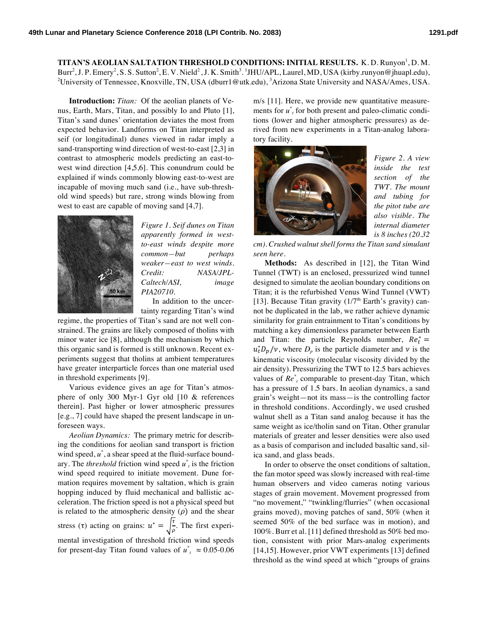**TITAN'S AEOLIAN SALTATION THRESHOLD CONDITIONS: INITIAL RESULTS.** K. D. Runyon<sup>1</sup>, D. M. Burr<sup>2</sup>, J. P. Emery<sup>2</sup>, S. S. Sutton<sup>2</sup>, E. V. Nield<sup>2</sup>, J. K. Smith<sup>3</sup>. <sup>1</sup>JHU/APL, Laurel, MD, USA (kirby.runyon@jhuapl.edu),<br><sup>2</sup>University of Tennessee, Knoxville, TN, USA (dhur1@utk.edu), <sup>3</sup>Arizona State University a University of Tennessee, Knoxville, TN, USA (dburr1@utk.edu), <sup>3</sup>Arizona State University and NASA/Ames, USA.

**Introduction:** *Titan:* Of the aeolian planets of Venus, Earth, Mars, Titan, and possibly Io and Pluto [1], Titan's sand dunes' orientation deviates the most from expected behavior. Landforms on Titan interpreted as seif (or longitudinal) dunes viewed in radar imply a sand-transporting wind direction of west-to-east [2,3] in contrast to atmospheric models predicting an east-towest wind direction [4,5,6]. This conundrum could be explained if winds commonly blowing east-to-west are incapable of moving much sand (i.e., have sub-threshold wind speeds) but rare, strong winds blowing from west to east are capable of moving sand [4,7].



*Figure 1. Seif dunes on Titan apparently formed in westto-east winds despite more common—but perhaps weaker—east to west winds. Credit: NASA/JPL-Caltech/ASI, image PIA20710.*

In addition to the uncertainty regarding Titan's wind

regime, the properties of Titan's sand are not well constrained. The grains are likely composed of tholins with minor water ice [8], although the mechanism by which this organic sand is formed is still unknown. Recent experiments suggest that tholins at ambient temperatures have greater interparticle forces than one material used in threshold experiments [9].

Various evidence gives an age for Titan's atmosphere of only 300 Myr-1 Gyr old [10 & references therein]. Past higher or lower atmospheric pressures [e.g., 7] could have shaped the present landscape in unforeseen ways.

*Aeolian Dynamics:* The primary metric for describing the conditions for aeolian sand transport is friction wind speed, *u*\* , a shear speed at the fluid-surface boundary. The *threshold* friction wind speed *u\* <sup>t</sup>* is the friction wind speed required to initiate movement. Dune formation requires movement by saltation, which is grain hopping induced by fluid mechanical and ballistic acceleration. The friction speed is not a physical speed but is related to the atmospheric density  $(\rho)$  and the shear stress (τ) acting on grains:  $u^* = \sqrt{\frac{\tau}{\rho}}$ . The first experimental investigation of threshold friction wind speeds for present-day Titan found values of  $u^*$ <sup>*t*</sup>  $\approx 0.05$ -0.06 m/s [11]. Here, we provide new quantitative measurements for *u\* <sup>t</sup>* for both present and paleo-climatic conditions (lower and higher atmospheric pressures) as derived from new experiments in a Titan-analog laboratory facility.



*Figure 2. A view inside the test section of the TWT. The mount and tubing for the pitot tube are also visible. The internal diameter is 8 inches (20.32* 

*cm). Crushed walnut shell forms the Titan sand simulant seen here.*

**Methods:** As described in [12], the Titan Wind Tunnel (TWT) is an enclosed, pressurized wind tunnel designed to simulate the aeolian boundary conditions on Titan; it is the refurbished Venus Wind Tunnel (VWT) [13]. Because Titan gravity  $(1/7<sup>th</sup> Earth's gravity)$  cannot be duplicated in the lab, we rather achieve dynamic similarity for grain entrainment to Titan's conditions by matching a key dimensionless parameter between Earth and Titan: the particle Reynolds number,  $Re_t^* =$  $u_t^* D_p/v$ , where  $D_p$  is the particle diameter and v is the kinematic viscosity (molecular viscosity divided by the air density). Pressurizing the TWT to 12.5 bars achieves values of *Re\* <sup>t</sup>* comparable to present-day Titan, which has a pressure of 1.5 bars. In aeolian dynamics, a sand grain's weight—not its mass—is the controlling factor in threshold conditions. Accordingly, we used crushed walnut shell as a Titan sand analog because it has the same weight as ice/tholin sand on Titan. Other granular materials of greater and lesser densities were also used as a basis of comparison and included basaltic sand, silica sand, and glass beads.

In order to observe the onset conditions of saltation, the fan motor speed was slowly increased with real-time human observers and video cameras noting various stages of grain movement. Movement progressed from "no movement," "twinkling/flurries" (when occasional grains moved), moving patches of sand, 50% (when it seemed 50% of the bed surface was in motion), and 100%. Burr et al. [11] defined threshold as 50% bed motion, consistent with prior Mars-analog experiments [14,15]. However, prior VWT experiments [13] defined threshold as the wind speed at which "groups of grains